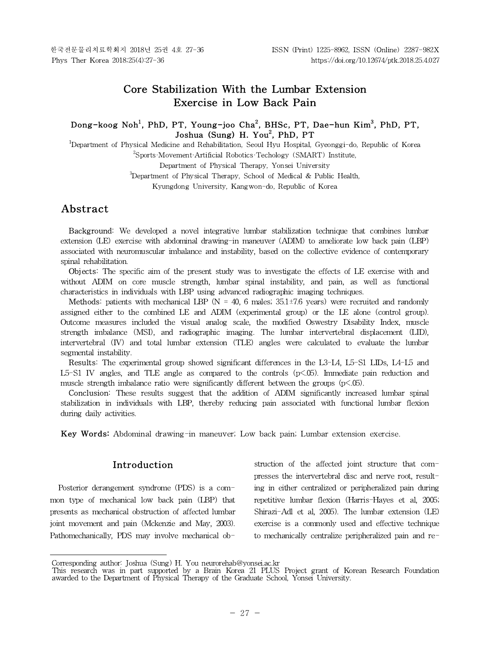# **Core Stabilization With the Lumbar Extension Exercise in Low Back Pain**

## **Dong-koog Noh<sup>1</sup> , PhD, PT, Young-joo Cha<sup>2</sup> , BHSc, PT, Dae-hun Kim<sup>3</sup> , PhD, PT, Joshua (Sung) H. You<sup>2</sup> , PhD, PT**

<sup>1</sup>Department of Physical Medicine and Rehabilitation, Seoul Hyu Hospital, Gyeonggi-do, Republic of Korea <sup>2</sup>Sports·Movement·Artificial Robotics·Techology (SMART) Institute, Department of Physical Therapy, Yonsei University <sup>3</sup>Department of Physical Therapy, School of Medical & Public Health,

Kyungdong University, Kangwon-do, Republic of Korea

# **Abstract1)**

Background: We developed a novel integrative lumbar stabilization technique that combines lumbar extension (LE) exercise with abdominal drawing-in maneuver (ADIM) to ameliorate low back pain (LBP) associated with neuromuscular imbalance and instability, based on the collective evidence of contemporary spinal rehabilitation.

Objects: The specific aim of the present study was to investigate the effects of LE exercise with and without ADIM on core muscle strength, lumbar spinal instability, and pain, as well as functional characteristics in individuals with LBP using advanced radiographic imaging techniques.

**Methods:** patients with mechanical LBP ( $N = 40$ , 6 males; 35.1 $\pm$ 7.6 years) were recruited and randomly assigned either to the combined LE and ADIM (experimental group) or the LE alone (control group). Outcome measures included the visual analog scale, the modified Oswestry Disability Index, muscle strength imbalance (MSI), and radiographic imaging. The lumbar intervertebral displacement (LID), intervertebral (IV) and total lumbar extension (TLE) angles were calculated to evaluate the lumbar segmental instability.

Results: The experimental group showed significant differences in the L3-L4, L5-S1 LIDs, L4-L5 and L5-S1 IV angles, and TLE angle as compared to the controls (p<.05). Immediate pain reduction and muscle strength imbalance ratio were significantly different between the groups  $(p<.05)$ .

**Conclusion:** These results suggest that the addition of ADIM significantly increased lumbar spinal stabilization in individuals with LBP, thereby reducing pain associated with functional lumbar flexion during daily activities.

**Key Words:** Abdominal drawing-in maneuver; Low back pain; Lumbar extension exercise.

## **Introduction**

Posterior derangement syndrome (PDS) is a common type of mechanical low back pain (LBP) that presents as mechanical obstruction of affected lumbar joint movement and pain (Mckenzie and May, 2003). Pathomechanically, PDS may involve mechanical obstruction of the affected joint structure that compresses the intervertebral disc and nerve root, resulting in either centralized or peripheralized pain during repetitive lumbar flexion (Harris-Hayes et al, 2005; Shirazi-Adl et al, 2005). The lumbar extension (LE) exercise is a commonly used and effective technique to mechanically centralize peripheralized pain and re-

Corresponding author: Joshua (Sung) H. You neurorehab@yonsei.ac.kr

This research was in part supported by a Brain Korea 21 PLUS Project grant of Korean Research Foundation awarded to the Department of Physical Therapy of the Graduate School, Yonsei University.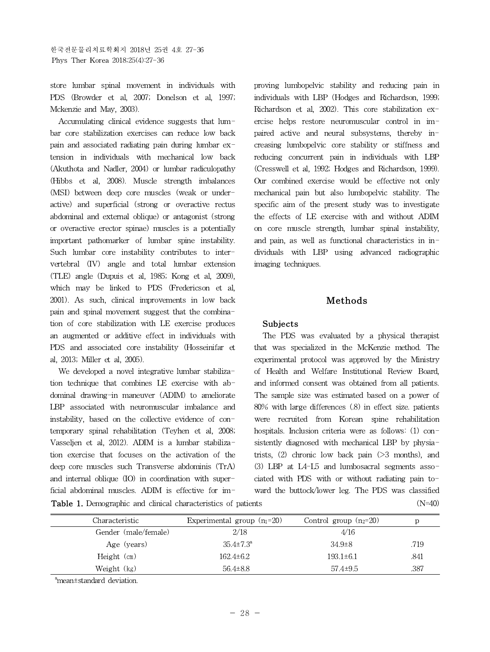store lumbar spinal movement in individuals with PDS (Browder et al, 2007; Donelson et al, 1997; Mckenzie and May, 2003).

Accumulating clinical evidence suggests that lumbar core stabilization exercises can reduce low back pain and associated radiating pain during lumbar extension in individuals with mechanical low back (Akuthota and Nadler, 2004) or lumbar radiculopathy (Hibbs et al, 2008). Muscle strength imbalances (MSI) between deep core muscles (weak or underactive) and superficial (strong or overactive rectus abdominal and external oblique) or antagonist (strong or overactive erector spinae) muscles is a potentially important pathomarker of lumbar spine instability. Such lumbar core instability contributes to intervertebral (IV) angle and total lumbar extension (TLE) angle (Dupuis et al, 1985; Kong et al, 2009), which may be linked to PDS (Fredericson et al, 2001). As such, clinical improvements in low back pain and spinal movement suggest that the combination of core stabilization with LE exercise produces an augmented or additive effect in individuals with PDS and associated core instability (Hosseinifar et al, 2013; Miller et al, 2005).

**Table 1.** Demographic and clinical characteristics of patients (N=40) We developed a novel integrative lumbar stabilization technique that combines LE exercise with abdominal drawing-in maneuver (ADIM) to ameliorate LBP associated with neuromuscular imbalance and instability, based on the collective evidence of contemporary spinal rehabilitation (Teyhen et al, 2008; Vasseljen et al, 2012). ADIM is a lumbar stabilization exercise that focuses on the activation of the deep core muscles such Transverse abdominis (TrA) and internal oblique (IO) in coordination with superficial abdominal muscles. ADIM is effective for im-

proving lumbopelvic stability and reducing pain in individuals with LBP (Hodges and Richardson, 1999; Richardson et al, 2002). This core stabilization exercise helps restore neuromuscular control in impaired active and neural subsystems, thereby increasing lumbopelvic core stability or stiffness and reducing concurrent pain in individuals with LBP (Cresswell et al, 1992; Hodges and Richardson, 1999). Our combined exercise would be effective not only mechanical pain but also lumbopelvic stability. The specific aim of the present study was to investigate the effects of LE exercise with and without ADIM on core muscle strength, lumbar spinal instability, and pain, as well as functional characteristics in individuals with LBP using advanced radiographic imaging techniques.

## **Methods**

#### **Subjects**

The PDS was evaluated by a physical therapist that was specialized in the McKenzie method. The experimental protocol was approved by the Ministry of Health and Welfare Institutional Review Board, and informed consent was obtained from all patients. The sample size was estimated based on a power of 80% with large differences (.8) in effect size. patients were recruited from Korean spine rehabilitation hospitals. Inclusion criteria were as follows: (1) consistently diagnosed with mechanical LBP by physiatrists,  $(2)$  chronic low back pain  $(2)$  months), and (3) LBP at L4-L5 and lumbosacral segments associated with PDS with or without radiating pain toward the buttock/lower leg. The PDS was classified

| Characteristic       | Experimental group $(n_1=20)$ | Control group $(n_2=20)$ |      |
|----------------------|-------------------------------|--------------------------|------|
| Gender (male/female) | 2/18                          | 4/16                     |      |
| Age (years)          | $35.4 \pm 7.3^{\circ}$        | $34.9\pm8$               | .719 |
| Height $(cm)$        | $162.4 \pm 6.2$               | $193.1 \pm 6.1$          | .841 |
| Weight (kg)          | $56.4\pm8.8$                  | $57.4 \pm 9.5$           | .387 |

<sup>a</sup>mean±standard deviation.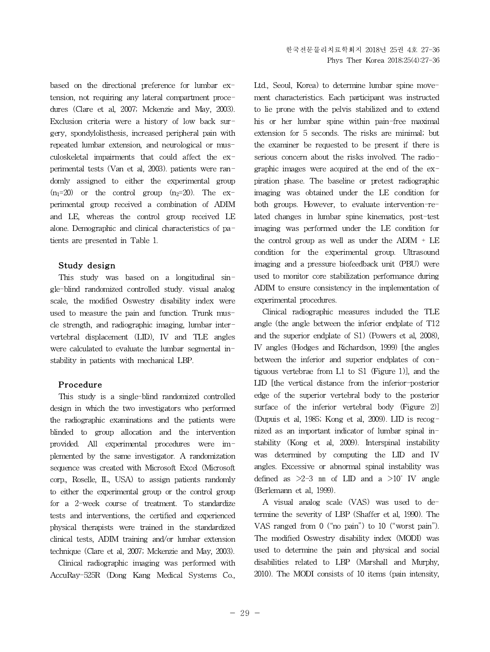based on the directional preference for lumbar extension, not requiring any lateral compartment procedures (Clare et al, 2007; Mckenzie and May, 2003). Exclusion criteria were a history of low back surgery, spondylolisthesis, increased peripheral pain with repeated lumbar extension, and neurological or musculoskeletal impairments that could affect the experimental tests (Van et al, 2003). patients were randomly assigned to either the experimental group  $(n_1=20)$  or the control group  $(n_2=20)$ . The experimental group received a combination of ADIM and LE, whereas the control group received LE alone. Demographic and clinical characteristics of patients are presented in Table 1.

### **Study design**

This study was based on a longitudinal single-blind randomized controlled study. visual analog scale, the modified Oswestry disability index were used to measure the pain and function. Trunk muscle strength, and radiographic imaging, lumbar intervertebral displacement (LID), IV and TLE angles were calculated to evaluate the lumbar segmental instability in patients with mechanical LBP.

#### **Procedure**

This study is a single-blind randomized controlled design in which the two investigators who performed the radiographic examinations and the patients were blinded to group allocation and the intervention provided. All experimental procedures were implemented by the same investigator. A randomization sequence was created with Microsoft Excel (Microsoft corp., Roselle, IL, USA) to assign patients randomly to either the experimental group or the control group for a 2-week course of treatment. To standardize tests and interventions, the certified and experienced physical therapists were trained in the standardized clinical tests, ADIM training and/or lumbar extension technique (Clare et al, 2007; Mckenzie and May, 2003).

Clinical radiographic imaging was performed with AccuRay-525R (Dong Kang Medical Systems Co.,

Ltd., Seoul, Korea) to determine lumbar spine movement characteristics. Each participant was instructed to lie prone with the pelvis stabilized and to extend his or her lumbar spine within pain-free maximal extension for 5 seconds. The risks are minimal; but the examiner be requested to be present if there is serious concern about the risks involved. The radiographic images were acquired at the end of the expiration phase. The baseline or pretest radiographic imaging was obtained under the LE condition for both groups. However, to evaluate intervention-related changes in lumbar spine kinematics, post-test imaging was performed under the LE condition for the control group as well as under the ADIM  $+$  LE condition for the experimental group. Ultrasound imaging and a pressure biofeedback unit (PBU) were used to monitor core stabilization performance during ADIM to ensure consistency in the implementation of experimental procedures.

Clinical radiographic measures included the TLE angle (the angle between the inferior endplate of T12 and the superior endplate of S1) (Powers et al, 2008), IV angles (Hodges and Richardson, 1999) [the angles between the inferior and superior endplates of contiguous vertebrae from L1 to S1 (Figure 1), and the LID [the vertical distance from the inferior-posterior edge of the superior vertebral body to the posterior surface of the inferior vertebral body (Figure 2)] (Dupuis et al, 1985; Kong et al, 2009). LID is recognized as an important indicator of lumbar spinal instability (Kong et al, 2009). Interspinal instability was determined by computing the LID and IV angles. Excessive or abnormal spinal instability was defined as  $\geq$ 2-3 mm of LID and a  $\geq$ 10° IV angle (Berlemann et al, 1999).

A visual analog scale (VAS) was used to determine the severity of LBP (Shaffer et al, 1990). The VAS ranged from 0 ("no pain") to 10 ("worst pain"). The modified Oswestry disability index (MODI) was used to determine the pain and physical and social disabilities related to LBP (Marshall and Murphy, 2010). The MODI consists of 10 items (pain intensity,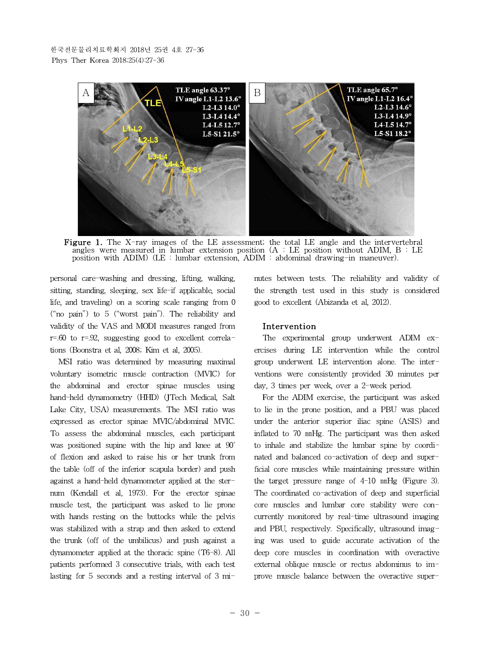

**Figure 1.** The X-ray images of the LE assessment; the total LE angle and the intervertebral angles were measured in lumbar extension position (A : LE position without ADIM, B : LE position with ADIM) (LE : lumbar extension, ADIM : abdominal drawing-in maneuver).

personal care-washing and dressing, lifting, walking, sitting, standing, sleeping, sex life-if applicable, social life, and traveling) on a scoring scale ranging from 0 ("no pain") to 5 ("worst pain"). The reliability and validity of the VAS and MODI measures ranged from  $r=60$  to  $r=92$ , suggesting good to excellent correlations (Boonstra et al, 2008; Kim et al, 2005).

MSI ratio was determined by measuring maximal voluntary isometric muscle contraction (MVIC) for the abdominal and erector spinae muscles using hand-held dynamometry (HHD) (JTech Medical, Salt Lake City, USA) measurements. The MSI ratio was expressed as erector spinae MVIC/abdominal MVIC. To assess the abdominal muscles, each participant was positioned supine with the hip and knee at 90<sup>°</sup> of flexion and asked to raise his or her trunk from the table (off of the inferior scapula border) and push against a hand-held dynamometer applied at the sternum (Kendall et al, 1973). For the erector spinae muscle test, the participant was asked to lie prone with hands resting on the buttocks while the pelvis was stabilized with a strap and then asked to extend the trunk (off of the umbilicus) and push against a dynamometer applied at the thoracic spine (T6-8). All patients performed 3 consecutive trials, with each test lasting for 5 seconds and a resting interval of 3 minutes between tests. The reliability and validity of the strength test used in this study is considered good to excellent (Abizanda et al, 2012).

#### **Intervention**

The experimental group underwent ADIM exercises during LE intervention while the control group underwent LE intervention alone. The interventions were consistently provided 30 minutes per day, 3 times per week, over a 2-week period.

For the ADIM exercise, the participant was asked to lie in the prone position, and a PBU was placed under the anterior superior iliac spine (ASIS) and inflated to 70 ㎜Hg. The participant was then asked to inhale and stabilize the lumbar spine by coordinated and balanced co-activation of deep and superficial core muscles while maintaining pressure within the target pressure range of 4-10 ㎜Hg (Figure 3). The coordinated co-activation of deep and superficial core muscles and lumbar core stability were concurrently monitored by real-time ultrasound imaging and PBU, respectively. Specifically, ultrasound imaging was used to guide accurate activation of the deep core muscles in coordination with overactive external oblique muscle or rectus abdominus to improve muscle balance between the overactive super-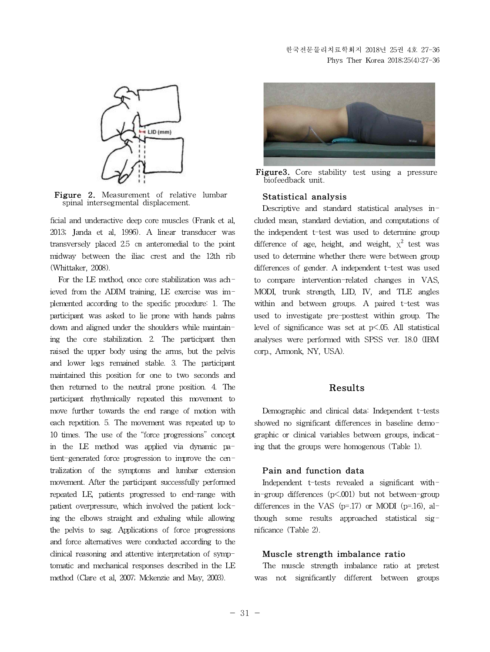

**Figure 2.** Measurement of relative lumbar spinal intersegmental displacement.

ficial and underactive deep core muscles (Frank et al, 2013; Janda et al, 1996). A linear transducer was transversely placed 2.5 ㎝ anteromedial to the point midway between the iliac crest and the 12th rib (Whittaker, 2008).

For the LE method, once core stabilization was achieved from the ADIM training, LE exercise was implemented according to the specific procedure: 1. The participant was asked to lie prone with hands palms down and aligned under the shoulders while maintaining the core stabilization. 2. The participant then raised the upper body using the arms, but the pelvis and lower legs remained stable. 3. The participant maintained this position for one to two seconds and then returned to the neutral prone position. 4. The participant rhythmically repeated this movement to move further towards the end range of motion with each repetition. 5. The movement was repeated up to 10 times. The use of the "force progressions" concept in the LE method was applied via dynamic patient-generated force progression to improve the centralization of the symptoms and lumbar extension movement. After the participant successfully performed repeated LE, patients progressed to end-range with patient overpressure, which involved the patient locking the elbows straight and exhaling while allowing the pelvis to sag. Applications of force progressions and force alternatives were conducted according to the clinical reasoning and attentive interpretation of symptomatic and mechanical responses described in the LE method (Clare et al, 2007; Mckenzie and May, 2003).



**Figure3.** Core stability test using <sup>a</sup> pressure biofeedback unit.

## **Statistical analysis**

Descriptive and standard statistical analyses included mean, standard deviation, and computations of the independent t-test was used to determine group difference of age, height, and weight,  $\chi^2$  test was used to determine whether there were between group differences of gender. A independent t-test was used to compare intervention-related changes in VAS, MODI, trunk strength, LID, IV, and TLE angles within and between groups. A paired t-test was used to investigate pre-posttest within group. The level of significance was set at  $p\leq 0.05$ . All statistical analyses were performed with SPSS ver. 18.0 (IBM corp., Armonk, NY, USA).

## **Results**

Demographic and clinical data: Independent t-tests showed no significant differences in baseline demographic or clinical variables between groups, indicating that the groups were homogenous (Table 1).

#### **Pain and function data**

Independent t-tests revealed a significant within-group differences (p<.001) but not between-group differences in the VAS ( $p=17$ ) or MODI ( $p=16$ ), although some results approached statistical significance (Table 2).

#### **Muscle strength imbalance ratio**

The muscle strength imbalance ratio at pretest was not significantly different between groups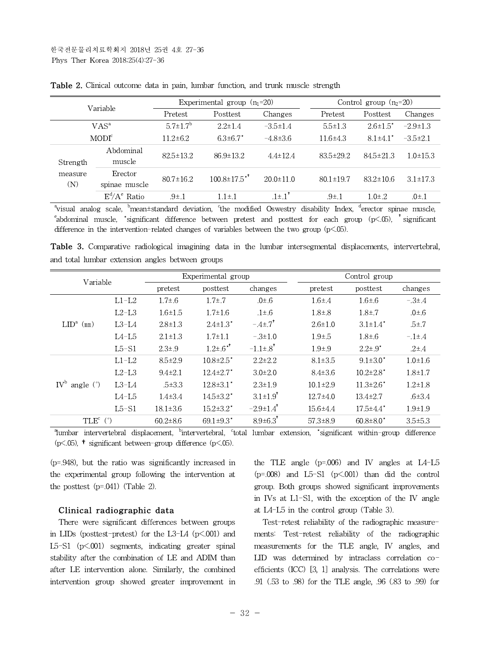| Variable                   |                          | Experimental group $(n_1=20)$ |                                | Control group $(n_2=20)$ |                 |                            |                |
|----------------------------|--------------------------|-------------------------------|--------------------------------|--------------------------|-----------------|----------------------------|----------------|
|                            |                          | Pretest                       | Posttest                       | Changes                  | Pretest         | Posttest                   | Changes        |
|                            | $VAS^a$                  | $5.7 \pm 1.7^b$               | $2.2 \pm 1.4$                  | $-3.5 \pm 1.4$           | $5.5 \pm 1.3$   | $2.6 \pm 1.5^*$            | $-2.9 \pm 1.3$ |
|                            | MODI <sup>c</sup>        | $11.2 \pm 6.2$                | $6.3{\pm}6.7^*$                | $-4.8\pm3.6$             | $11.6{\pm}4.3$  | $8.1 \pm 4.1$ <sup>*</sup> | $-3.5\pm2.1$   |
| Strength<br>measure<br>(N) | Abdominal<br>muscle      | $82.5 \pm 13.2$               | $86.9 \pm 13.2$                | $4.4 \pm 12.4$           | $83.5 \pm 29.2$ | $84.5 \pm 21.3$            | $1.0 \pm 15.3$ |
|                            | Erector<br>spinae muscle | $80.7 \pm 16.2$               | $100.8 \pm 17.5$ <sup>**</sup> | $20.0 \pm 11.0$          | $80.1 \pm 19.7$ | $83.2 \pm 10.6$            | $3.1 \pm 17.3$ |
|                            | $E^d/A^e$ Ratio          | $.91 \pm .1$                  | $1.1 \pm .1$                   | $.1 \pm .1$ <sup>*</sup> | $.9{\pm}.1$     | $1.0{\pm}.2$               | $.0\pm.1$      |

**Table 2.** Clinical outcome data in pain, lumbar function, and trunk muscle strength

<sup>a</sup>visual analog scale, <sup>b</sup>mean±standard deviation, <sup>c</sup>the modified Oswestry disability Index, <sup>d</sup>erector spinae muscle,  $e^e$ abdominal muscle, \*significant difference between pretest and posttest for each group (p<.05), \*significant difference in the intervention-related changes of variables between the two group  $(p<.05)$ .

**Table 3.** Comparative radiological imagining data in the lumbar intersegmental displacements, intervertebral, and total lumbar extension angles between groups

| Variable                      |         |                | Experimental group          |                             |                | Control group               |               |
|-------------------------------|---------|----------------|-----------------------------|-----------------------------|----------------|-----------------------------|---------------|
|                               |         | pretest        | posttest                    | changes                     | pretest        | posttest                    | changes       |
| $LIDa$ (mm)                   | $L1-L2$ | $1.7 \pm .6$   | $1.7 \pm .7$                | $.0\pm.6$                   | $1.6{\pm}.4$   | $1.6 \pm .6$                | $-3{\pm}.4$   |
|                               | $L2-L3$ | $1.6 \pm 1.5$  | $1.7 \pm 1.6$               | $.1\pm.6$                   | $1.8{\pm}.8$   | $1.8{\pm}.7$                | .0 $\pm$ .6   |
|                               | $L3-L4$ | $2.8 \pm 1.3$  | $2.4 \pm 1.3'$              | $-.4\pm.7$ <sup>*</sup>     | $2.6 \pm 1.0$  | $3.1 \pm 1.4'$              | $.5{\pm}.7$   |
|                               | $L4-L5$ | $2.1 \pm 1.3$  | $1.7 \pm 1.1$               | $-.3 \pm 1.0$               | $1.9{\pm}.5$   | $1.8 \pm .6$                | $-11.4$       |
|                               | $L5-S1$ | $2.3 \pm .9$   | $1.2\pm.6$ <sup>**</sup>    | $-1.1 \pm .8$ <sup>*</sup>  | $1.9 + .9$     | $2.2 \pm .9^*$              | $.2{\pm}.4$   |
| $IV^b$ angle $(°)$            | $L1-L2$ | $8.5 \pm 2.9$  | $10.8 \pm 2.5$ <sup>*</sup> | $2.2 \pm 2.2$               | $8.1 \pm 3.5$  | $9.1 \pm 3.0^*$             | $1.0 \pm 1.6$ |
|                               | $L2-L3$ | $9.4 \pm 2.1$  | $12.4 \pm 2.7$ <sup>*</sup> | $3.0 \pm 2.0$               | $8.4 \pm 3.6$  | $10.2{\pm}2.8$ <sup>*</sup> | $1.8 + 1.7$   |
|                               | $L3-L4$ | $.5 \pm 3.3$   | $12.8 \pm 3.1$ <sup>*</sup> | $2.3 \pm 1.9$               | $10.1 \pm 2.9$ | $11.3{\pm}2.6$ <sup>*</sup> | $1.2 \pm 1.8$ |
|                               | $LA-L5$ | $1.4 \pm 3.4$  | $14.5 \pm 3.2^*$            | $3.1 \pm 1.9$ <sup>*</sup>  | $12.7{\pm}4.0$ | $13.4 \pm 2.7$              | $.6{\pm}3.4$  |
|                               | $L5-S1$ | $18.1 \pm 3.6$ | $15.2 \pm 3.2^*$            | $-2.9 \pm 1.4$ <sup>*</sup> | $15.6 \pm 4.4$ | $17.5 \pm 4.4$ <sup>*</sup> | $1.9 \pm 1.9$ |
| TLE $^{\rm c}$ ( $^{\circ}$ ) |         | $60.2 \pm 8.6$ | $69.1 \pm 9.3$ <sup>*</sup> | $8.9 \pm 6.3$ <sup>*</sup>  | $57.3 \pm 8.9$ | $60.8 \pm 8.0$ <sup>*</sup> | $3.5 \pm 5.3$ |

<sup>a</sup>lumbar intervertebral displacement, <sup>b</sup>intervertebral, <sup>c</sup>total lumbar extension, \*significant within-group difference  $(p<.05)$ , † significant between-group difference  $(p<.05)$ .

(p=.948), but the ratio was significantly increased in the experimental group following the intervention at the posttest  $(p=.041)$  (Table 2).

#### **Clinical radiographic data**

There were significant differences between groups in LIDs (posttest-pretest) for the L3-L4  $(p<.001)$  and L5-S1 (p<.001) segments, indicating greater spinal stability after the combination of LE and ADIM than after LE intervention alone. Similarly, the combined intervention group showed greater improvement in the TLE angle  $(p=.006)$  and IV angles at L4-L5  $(p=.008)$  and  $L5-S1$   $(p<.001)$  than did the control group. Both groups showed significant improvements in IVs at L1-S1, with the exception of the IV angle at L4-L5 in the control group (Table 3).

Test-retest reliability of the radiographic measurements: Test-retest reliability of the radiographic measurements for the TLE angle, IV angles, and LID was determined by intraclass correlation coefficients (ICC) [3, 1] analysis. The correlations were .91 (.53 to .98) for the TLE angle, .96 (.83 to .99) for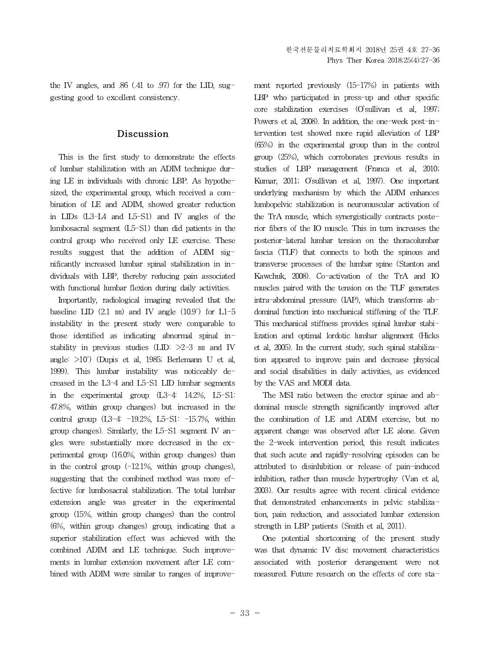the IV angles, and  $.86$  (.41 to  $.97$ ) for the LID, suggesting good to excellent consistency.

## **Discussion**

This is the first study to demonstrate the effects of lumbar stabilization with an ADIM technique during LE in individuals with chronic LBP. As hypothesized, the experimental group, which received a combination of LE and ADIM, showed greater reduction in LIDs (L3-L4 and L5-S1) and IV angles of the lumbosacral segment (L5-S1) than did patients in the control group who received only LE exercise. These results suggest that the addition of ADIM significantly increased lumbar spinal stabilization in individuals with LBP, thereby reducing pain associated with functional lumbar flexion during daily activities.

Importantly, radiological imaging revealed that the baseline LID  $(2.1 \text{ mm})$  and IV angle  $(10.9^{\circ})$  for L1-5 instability in the present study were comparable to those identified as indicating abnormal spinal instability in previous studies (LID: >2-3 ㎜ and IV angle: >10˚) (Dupis et al, 1985; Berlemann U et al, 1999). This lumbar instability was noticeably decreased in the L3-4 and L5-S1 LID lumbar segments in the experimental group (L3-4: 14.2%, L5-S1: 47.8%, within group changes) but increased in the control group (L3-4: -19.2%, L5-S1: -15.7%, within group changes). Similarly, the L5-S1 segment IV angles were substantially more decreased in the experimental group (16.0%, within group changes) than in the control group  $(-12.1\%$ , within group changes), suggesting that the combined method was more effective for lumbosacral stabilization. The total lumbar extension angle was greater in the experimental group (15%, within group changes) than the control (6%, within group changes) group, indicating that a superior stabilization effect was achieved with the combined ADIM and LE technique. Such improvements in lumbar extension movement after LE combined with ADIM were similar to ranges of improvement reported previously (15-17%) in patients with LBP who participated in press-up and other specific core stabilization exercises (O'sullivan et al, 1997; Powers et al, 2008). In addition, the one-week post-intervention test showed more rapid alleviation of LBP (65%) in the experimental group than in the control group (25%), which corroborates previous results in studies of LBP management (Franca et al, 2010; Kumar, 2011; O'sullivan et al, 1997). One important underlying mechanism by which the ADIM enhances lumbopelvic stabilization is neuromuscular activation of the TrA muscle, which synergistically contracts posterior fibers of the IO muscle. This in turn increases the posterior-lateral lumbar tension on the thoracolumbar fascia (TLF) that connects to both the spinous and transverse processes of the lumbar spine (Stanton and Kawchuk, 2008). Co-activation of the TrA and IO muscles paired with the tension on the TLF generates intra-abdominal pressure (IAP), which transforms abdominal function into mechanical stiffening of the TLF. This mechanical stiffness provides spinal lumbar stabilization and optimal lordotic lumbar alignment (Hicks et al, 2005). In the current study, such spinal stabilization appeared to improve pain and decrease physical and social disabilities in daily activities, as evidenced by the VAS and MODI data.

The MSI ratio between the erector spinae and abdominal muscle strength significantly improved after the combination of LE and ADIM exercise, but no apparent change was observed after LE alone. Given the 2-week intervention period, this result indicates that such acute and rapidly-resolving episodes can be attributed to disinhibition or release of pain-induced inhibition, rather than muscle hypertrophy (Van et al, 2003). Our results agree with recent clinical evidence that demonstrated enhancements in pelvic stabilization, pain reduction, and associated lumbar extension strength in LBP patients (Smith et al, 2011).

One potential shortcoming of the present study was that dynamic IV disc movement characteristics associated with posterior derangement were not measured. Future research on the effects of core sta-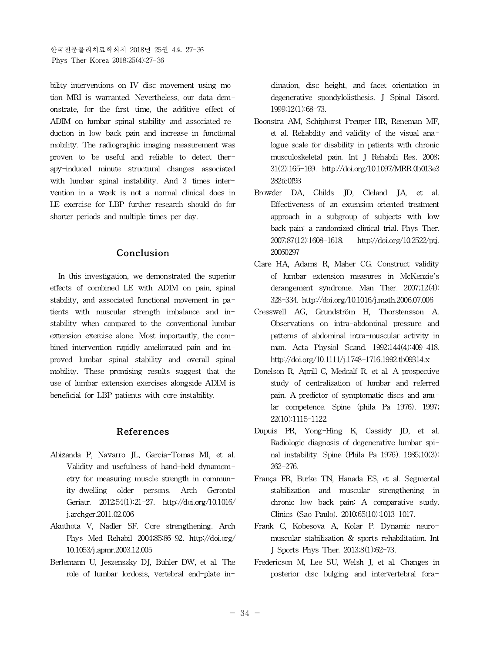bility interventions on IV disc movement using motion MRI is warranted. Nevertheless, our data demonstrate, for the first time, the additive effect of ADIM on lumbar spinal stability and associated reduction in low back pain and increase in functional mobility. The radiographic imaging measurement was proven to be useful and reliable to detect therapy-induced minute structural changes associated with lumbar spinal instability. And 3 times intervention in a week is not a normal clinical does in LE exercise for LBP further research should do for shorter periods and multiple times per day.

## **Conclusion**

In this investigation, we demonstrated the superior effects of combined LE with ADIM on pain, spinal stability, and associated functional movement in patients with muscular strength imbalance and instability when compared to the conventional lumbar extension exercise alone. Most importantly, the combined intervention rapidly ameliorated pain and improved lumbar spinal stability and overall spinal mobility. These promising results suggest that the use of lumbar extension exercises alongside ADIM is beneficial for LBP patients with core instability.

#### **References**

- Abizanda P, Navarro JL, Garcia-Tomas MI, et al. Validity and usefulness of hand-held dynamometry for measuring muscle strength in community-dwelling older persons. Arch Gerontol Geriatr. 2012;54(1):21-27. http://doi.org/10.1016/ j.archger.2011.02.006
- Akuthota V, Nadler SF. Core strengthening. Arch Phys Med Rehabil 2004;85:86-92. http://doi.org/ 10.1053/j.apmr.2003.12.005
- Berlemann U, Jeszenszky DJ, Bühler DW, et al. The role of lumbar lordosis, vertebral end-plate in-

clination, disc height, and facet orientation in degenerative spondylolisthesis. J Spinal Disord. 1999;12(1):68-73.

- Boonstra AM, Schiphorst Preuper HR, Reneman MF, et al. Reliability and validity of the visual analogue scale for disability in patients with chronic musculoskeletal pain. Int J Rehabili Res. 2008; 31(2):165-169. http://doi.org/10.1097/MRR.0b013e3 282fc0f93
- Browder DA, Childs JD, Cleland JA, et al. Effectiveness of an extension-oriented treatment approach in a subgroup of subjects with low back pain: a randomized clinical trial. Phys Ther. 2007;87(12):1608-1618. http://doi.org/10.2522/ptj. 20060297
- Clare HA, Adams R, Maher CG. Construct validity of lumbar extension measures in McKenzie's derangement syndrome. Man Ther. 2007;12(4): 328-334. http://doi.org/10.1016/j.math.2006.07.006
- Cresswell AG, Grundström H, Thorstensson A. Observations on intra-abdominal pressure and patterns of abdominal intra-muscular activity in man. Acta Physiol Scand. 1992;144(4):409-418. http://doi.org/10.1111/j.1748-1716.1992.tb09314.x
- Donelson R, Aprill C, Medcalf R, et al. A prospective study of centralization of lumbar and referred pain. A predictor of symptomatic discs and anular competence. Spine (phila Pa 1976). 1997; 22(10):1115-1122.
- Dupuis PR, Yong-Hing K, Cassidy JD, et al. Radiologic diagnosis of degenerative lumbar spinal instability. Spine (Phila Pa 1976). 1985;10(3): 262-276.
- França FR, Burke TN, Hanada ES, et al. Segmental stabilization and muscular strengthening in chronic low back pain: A comparative study. Clinics (Sao Paulo). 2010;65(10):1013-1017.
- Frank C, Kobesova A, Kolar P. Dynamic neuromuscular stabilization & sports rehabilitation. Int J Sports Phys Ther. 2013;8(1):62-73.
- Fredericson M, Lee SU, Welsh J, et al. Changes in posterior disc bulging and intervertebral fora-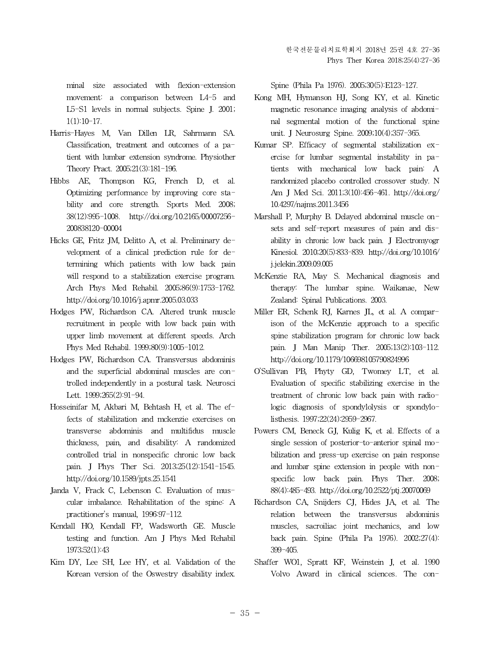minal size associated with flexion-extension movement: a comparison between L4-5 and L5-S1 levels in normal subjects. Spine J. 2001; 1(1):10-17.

- Harris-Hayes M, Van Dillen LR, Sahrmann SA. Classification, treatment and outcomes of a patient with lumbar extension syndrome. Physiother Theory Pract. 2005;21(3):181-196.
- Hibbs AE, Thompson KG, French D, et al. Optimizing performance by improving core stability and core strength. Sports Med. 2008; 38(12):995-1008. http://doi.org/10.2165/00007256- 200838120-00004
- Hicks GE, Fritz JM, Delitto A, et al. Preliminary development of a clinical prediction rule for determining which patients with low back pain will respond to a stabilization exercise program. Arch Phys Med Rehabil. 2005;86(9):1753-1762. http://doi.org/10.1016/j.apmr.2005.03.033
- Hodges PW, Richardson CA. Altered trunk muscle recruitment in people with low back pain with upper limb movement at different speeds. Arch Phys Med Rehabil. 1999;80(9):1005-1012.
- Hodges PW, Richardson CA. Transversus abdominis and the superficial abdominal muscles are controlled independently in a postural task. Neurosci Lett. 1999;265(2):91-94.
- Hosseinifar M, Akbari M, Behtash H, et al. The effects of stabilization and mckenzie exercises on transverse abdominis and multifidus muscle thickness, pain, and disability: A randomized controlled trial in nonspecific chronic low back pain. J Phys Ther Sci. 2013;25(12):1541-1545. http://doi.org/10.1589/jpts.25.1541
- Janda V, Frack C, Lebenson C. Evaluation of muscular imbalance. Rehabilitation of the spine: A practitioner's manual, 1996:97-112.
- Kendall HO, Kendall FP, Wadsworth GE. Muscle testing and function. Am J Phys Med Rehabil 1973;52(1):43
- Kim DY, Lee SH, Lee HY, et al. Validation of the Korean version of the Oswestry disability index.

Spine (Phila Pa 1976). 2005;30(5):E123-127.

- Kong MH, Hymanson HJ, Song KY, et al. Kinetic magnetic resonance imaging analysis of abdominal segmental motion of the functional spine unit. J Neurosurg Spine. 2009;10(4);357-365.
- Kumar SP. Efficacy of segmental stabilization exercise for lumbar segmental instability in patients with mechanical low back pain: A randomized placebo controlled crossover study. N Am J Med Sci. 2011;3(10):456-461. http://doi.org/ 10.4297/najms.2011.3456
- Marshall P, Murphy B. Delayed abdominal muscle onsets and self-report measures of pain and disability in chronic low back pain. J Electromyogr Kinesiol. 2010;20(5):833-839. http://doi.org/10.1016/ j.jelekin.2009.09.005
- McKenzie RA, May S. Mechanical diagnosis and therapy: The lumbar spine. Waikanae, New Zealand: Spinal Publications. 2003.
- Miller ER, Schenk RJ, Karnes JL, et al. A comparison of the McKenzie approach to a specific spine stabilization program for chronic low back pain. J Man Manip Ther. 2005;13(2):103-112. http://doi.org/10.1179/106698105790824996
- O'Sullivan PB, Phyty GD, Twomey LT, et al. Evaluation of specific stabilizing exercise in the treatment of chronic low back pain with radiologic diagnosis of spondylolysis or spondylolisthesis. 1997;22(24):2959-2967.
- Powers CM, Beneck GJ, Kulig K, et al. Effects of a single session of posterior-to-anterior spinal mobilization and press-up exercise on pain response and lumbar spine extension in people with nonspecific low back pain. Phys Ther. 2008; 88(4):485-493. http://doi.org/10.2522/ptj.20070069
- Richardson CA, Snijders CJ, Hides JA, et al. The relation between the transversus abdominis muscles, sacroiliac joint mechanics, and low back pain. Spine (Phila Pa 1976). 2002;27(4): 399-405.
- Shaffer WO1, Spratt KF, Weinstein J, et al. 1990 Volvo Award in clinical sciences. The con-